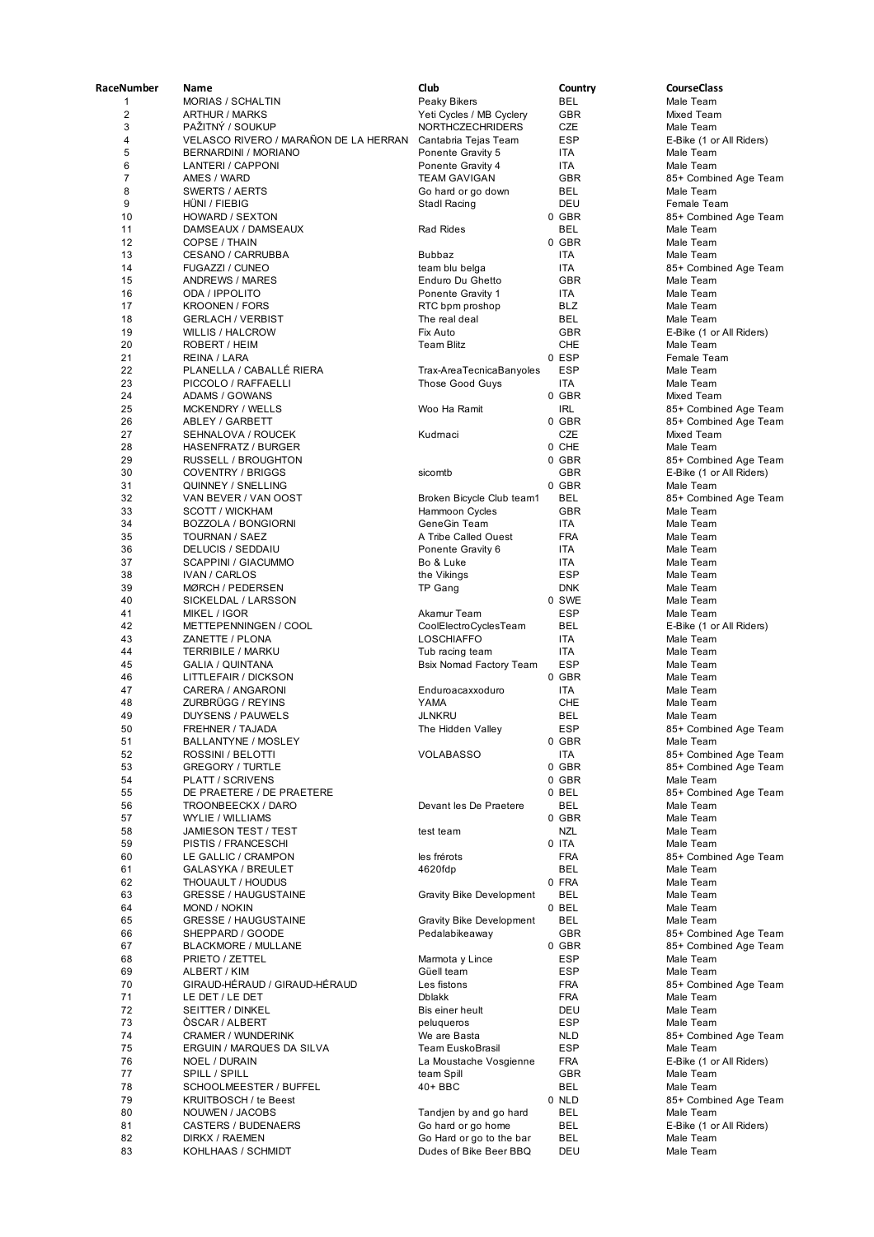| RaceNumber     | Name                                             | Club                                           | Country             | <b>CourseClass</b>                             |
|----------------|--------------------------------------------------|------------------------------------------------|---------------------|------------------------------------------------|
| 1              | <b>MORIAS / SCHALTIN</b>                         | Peaky Bikers                                   | BEL                 | Male Team                                      |
| $\overline{2}$ | <b>ARTHUR / MARKS</b>                            | Yeti Cycles / MB Cyclery                       | <b>GBR</b>          | Mixed Team                                     |
| 3              | PAŽITNÝ / SOUKUP                                 | <b>NORTHCZECHRIDERS</b>                        | CZE                 | Male Team                                      |
| 4              | VELASCO RIVERO / MARAÑON DE LA HERRAN            | Cantabria Tejas Team                           | <b>ESP</b>          | E-Bike (1 or All Riders)                       |
| 5              | <b>BERNARDINI / MORIANO</b>                      | Ponente Gravity 5                              | ITA                 | Male Team                                      |
| 6              | LANTERI / CAPPONI                                | Ponente Gravity 4                              | ITA                 | Male Team                                      |
| $\overline{7}$ | AMES / WARD                                      | <b>TEAM GAVIGAN</b>                            | <b>GBR</b>          | 85+ Combined Age Team                          |
| 8              | <b>SWERTS / AERTS</b>                            | Go hard or go down                             | BEL                 | Male Team                                      |
| 9              | HUNI / FIEBIG                                    | Stadl Racing                                   | DEU                 | Female Team                                    |
| 10             | HOWARD / SEXTON                                  | <b>Rad Rides</b>                               | 0 GBR<br><b>BEL</b> | 85+ Combined Age Team                          |
| 11<br>12       | DAMSEAUX / DAMSEAUX<br><b>COPSE / THAIN</b>      |                                                | 0 GBR               | Male Team<br>Male Team                         |
| 13             | <b>CESANO / CARRUBBA</b>                         | <b>Bubbaz</b>                                  | ITA                 | Male Team                                      |
| 14             | <b>FUGAZZI / CUNEO</b>                           | team blu belga                                 | ITA                 | 85+ Combined Age Team                          |
| 15             | ANDREWS / MARES                                  | Enduro Du Ghetto                               | <b>GBR</b>          | Male Team                                      |
| 16             | ODA / IPPOLITO                                   | Ponente Gravity 1                              | ITA                 | Male Team                                      |
| 17             | <b>KROONEN / FORS</b>                            | RTC bpm proshop                                | <b>BLZ</b>          | Male Team                                      |
| 18             | <b>GERLACH / VERBIST</b>                         | The real deal                                  | BEL                 | Male Team                                      |
| 19             | <b>WILLIS / HALCROW</b>                          | Fix Auto                                       | GBR                 | E-Bike (1 or All Riders)                       |
| 20             | ROBERT / HEIM                                    | Team Blitz                                     | CHE                 | Male Team                                      |
| 21             | REINA / LARA                                     |                                                | 0 ESP               | Female Team                                    |
| 22             | PLANELLA / CABALLÉ RIERA                         | Trax-AreaTecnicaBanyoles                       | <b>ESP</b>          | Male Team                                      |
| 23             | PICCOLO / RAFFAELLI                              | Those Good Guys                                | ITA                 | Male Team                                      |
| 24             | <b>ADAMS / GOWANS</b>                            |                                                | 0 GBR               | Mixed Team                                     |
| 25             | <b>MCKENDRY / WELLS</b>                          | Woo Ha Ramit                                   | <b>IRL</b>          | 85+ Combined Age Team                          |
| 26<br>27       | <b>ABLEY / GARBETT</b>                           |                                                | 0 GBR<br>CZE        | 85+ Combined Age Team                          |
| 28             | SEHNALOVA / ROUCEK<br><b>HASENFRATZ / BURGER</b> | Kudmaci                                        | 0 CHE               | Mixed Team                                     |
| 29             | <b>RUSSELL / BROUGHTON</b>                       |                                                | 0 GBR               | Male Team<br>85+ Combined Age Team             |
| 30             | <b>COVENTRY / BRIGGS</b>                         | sicomtb                                        | GBR                 | E-Bike (1 or All Riders)                       |
| 31             | QUINNEY / SNELLING                               |                                                | 0 GBR               | Male Team                                      |
| 32             | VAN BEVER / VAN OOST                             | Broken Bicycle Club team1                      | BEL                 | 85+ Combined Age Team                          |
| 33             | <b>SCOTT / WICKHAM</b>                           | Hammoon Cycles                                 | <b>GBR</b>          | Male Team                                      |
| 34             | <b>BOZZOLA / BONGIORNI</b>                       | GeneGin Team                                   | ITA                 | Male Team                                      |
| 35             | TOURNAN / SAEZ                                   | A Tribe Called Ouest                           | <b>FRA</b>          | Male Team                                      |
| 36             | DELUCIS / SEDDAIU                                | Ponente Gravity 6                              | ITA                 | Male Team                                      |
| 37             | <b>SCAPPINI / GIACUMMO</b>                       | Bo & Luke                                      | <b>ITA</b>          | Male Team                                      |
| 38             | <b>IVAN / CARLOS</b>                             | the Vikings                                    | <b>ESP</b>          | Male Team                                      |
| 39             | <b>MØRCH / PEDERSEN</b>                          | TP Gang                                        | <b>DNK</b>          | Male Team                                      |
| 40<br>41       | SICKELDAL / LARSSON<br>MIKEL / IGOR              | Akamur Team                                    | 0 SWE<br><b>ESP</b> | Male Team<br>Male Team                         |
| 42             | METTEPENNINGEN / COOL                            | CoolElectroCyclesTeam                          | BEL                 | E-Bike (1 or All Riders)                       |
| 43             | ZANETTE / PLONA                                  | <b>LOSCHIAFFO</b>                              | ITA                 | Male Team                                      |
| 44             | TERRIBILE / MARKU                                | Tub racing team                                | <b>ITA</b>          | Male Team                                      |
| 45             | <b>GALIA / QUINTANA</b>                          | <b>Bsix Nomad Factory Team</b>                 | <b>ESP</b>          | Male Team                                      |
| 46             | LITTLEFAIR / DICKSON                             |                                                | 0 GBR               | Male Team                                      |
| 47             | CARERA / ANGARONI                                | Enduroacaxxoduro                               | ITA                 | Male Team                                      |
| 48             | ZURBRÜGG / REYINS                                | <b>YAMA</b>                                    | CHE                 | Male Team                                      |
| 49             | DUYSENS / PAUWELS                                | <b>JLNKRU</b>                                  | BEL                 | Male Team                                      |
| 50             | FREHNER / TAJADA                                 | The Hidden Valley                              | <b>ESP</b>          | 85+ Combined Age Team                          |
| 51             | BALLANTYNE / MOSLEY                              |                                                | 0 GBR               | Male Team                                      |
| 52             | ROSSINI / BELOTTI<br><b>GREGORY / TURTLE</b>     | <b>VOLABASSO</b>                               | ITA                 | 85+ Combined Age Team<br>85+ Combined Age Team |
| 53<br>54       | PLATT / SCRIVENS                                 |                                                | 0 GBR<br>0 GBR      | Male Team                                      |
| 55             | DE PRAETERE / DE PRAETERE                        |                                                | 0 BEL               | 85+ Combined Age Team                          |
| 56             | TROONBEECKX / DARO                               | Devant les De Praetere                         | BEL                 | Male Team                                      |
| 57             | WYLIE / WILLIAMS                                 |                                                | 0 GBR               | Male Team                                      |
| 58             | JAMIESON TEST / TEST                             | test team                                      | NZL                 | Male Team                                      |
| 59             | PISTIS / FRANCESCHI                              |                                                | 0 ITA               | Male Team                                      |
| 60             | LE GALLIC / CRAMPON                              | les frérots                                    | <b>FRA</b>          | 85+ Combined Age Team                          |
| 61             | GALASYKA / BREULET                               | 4620fdp                                        | BEL                 | Male Team                                      |
| 62             | THOUAULT / HOUDUS                                |                                                | 0 FRA               | Male Team                                      |
| 63             | <b>GRESSE / HAUGUSTAINE</b>                      | <b>Gravity Bike Development</b>                | BEL                 | Male Team                                      |
| 64             | <b>MOND / NOKIN</b>                              |                                                | 0 BEL               | Male Team                                      |
| 65             | <b>GRESSE / HAUGUSTAINE</b>                      | <b>Gravity Bike Development</b>                | <b>BEL</b>          | Male Team                                      |
| 66<br>67       | SHEPPARD / GOODE<br><b>BLACKMORE / MULLANE</b>   | Pedalabikeaway                                 | GBR<br>0 GBR        | 85+ Combined Age Team<br>85+ Combined Age Team |
| 68             | PRIETO / ZETTEL                                  | Marmota y Lince                                | ESP                 | Male Team                                      |
| 69             | ALBERT / KIM                                     | Güell team                                     | <b>ESP</b>          | Male Team                                      |
| 70             | GIRAUD-HÉRAUD / GIRAUD-HÉRAUD                    | Les fistons                                    | FRA                 | 85+ Combined Age Team                          |
| 71             | LE DET / LE DET                                  | <b>Dblakk</b>                                  | <b>FRA</b>          | Male Team                                      |
| 72             | SEITTER / DINKEL                                 | Bis einer heult                                | DEU                 | Male Team                                      |
| 73             | OSCAR / ALBERT                                   | peluqueros                                     | ESP                 | Male Team                                      |
| 74             | CRAMER / WUNDERINK                               | We are Basta                                   | <b>NLD</b>          | 85+ Combined Age Team                          |
| 75             | ERGUIN / MARQUES DA SILVA                        | Team EuskoBrasil                               | <b>ESP</b>          | Male Team                                      |
| 76             | NOEL / DURAIN                                    | La Moustache Vosgienne                         | <b>FRA</b>          | E-Bike (1 or All Riders)                       |
| 77             | SPILL / SPILL                                    | team Spill                                     | GBR                 | Male Team                                      |
| 78             | SCHOOLMEESTER / BUFFEL                           | 40+ BBC                                        | BEL                 | Male Team                                      |
| 79             | <b>KRUITBOSCH / te Beest</b>                     |                                                | 0 NLD               | 85+ Combined Age Team                          |
| 80             | NOUWEN / JACOBS                                  | Tandjen by and go hard                         | BEL                 | Male Team                                      |
| 81<br>82       | <b>CASTERS / BUDENAERS</b><br>DIRKX / RAEMEN     | Go hard or go home<br>Go Hard or go to the bar | BEL<br>BEL          | E-Bike (1 or All Riders)<br>Male Team          |
| 83             | KOHLHAAS / SCHMIDT                               | Dudes of Bike Beer BBQ                         | DEU                 | Male Team                                      |
|                |                                                  |                                                |                     |                                                |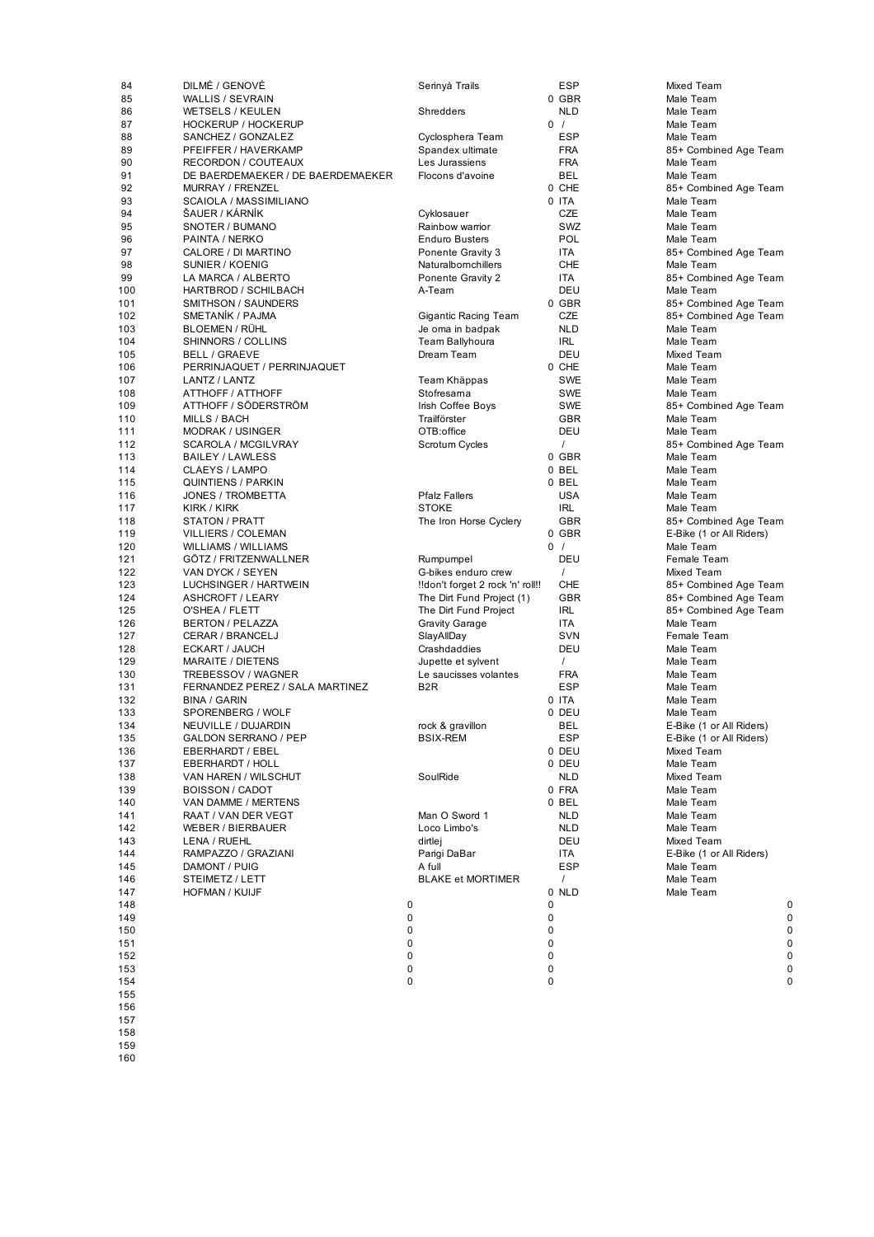| 84  | DILMÉ / GENOVÉ                    | Serinyà Trails                   |             | <b>ESP</b> | Mixed Team               |             |
|-----|-----------------------------------|----------------------------------|-------------|------------|--------------------------|-------------|
| 85  | <b>WALLIS / SEVRAIN</b>           |                                  |             | 0 GBR      | Male Team                |             |
| 86  | <b>WETSELS / KEULEN</b>           | Shredders                        |             | <b>NLD</b> | Male Team                |             |
| 87  | HOCKERUP / HOCKERUP               |                                  |             | 0/         | Male Team                |             |
| 88  | SANCHEZ / GONZALEZ                | Cyclosphera Team                 |             | <b>ESP</b> | Male Team                |             |
| 89  | PFEIFFER / HAVERKAMP              | Spandex ultimate                 |             | <b>FRA</b> | 85+ Combined Age Team    |             |
| 90  | <b>RECORDON / COUTEAUX</b>        | Les Jurassiens                   |             | <b>FRA</b> | Male Team                |             |
| 91  | DE BAERDEMAEKER / DE BAERDEMAEKER | Flocons d'avoine                 |             | BEL        | Male Team                |             |
| 92  | MURRAY / FRENZEL                  |                                  |             | 0 CHE      | 85+ Combined Age Team    |             |
| 93  | SCAIOLA / MASSIMILIANO            |                                  |             | 0 ITA      | Male Team                |             |
| 94  | ŠAUER / KÁRNÍK                    | Cyklosauer                       |             | CZE        | Male Team                |             |
| 95  | SNOTER / BUMANO                   | Rainbow warrior                  |             | SWZ        | Male Team                |             |
| 96  | PAINTA / NERKO                    | <b>Enduro Busters</b>            |             | POL        | Male Team                |             |
| 97  | CALORE / DI MARTINO               | Ponente Gravity 3                |             | ITA        | 85+ Combined Age Team    |             |
| 98  | SUNIER / KOENIG                   | Naturalbornchillers              |             | CHE        | Male Team                |             |
| 99  | LA MARCA / ALBERTO                | Ponente Gravity 2                |             | ITA        | 85+ Combined Age Team    |             |
| 100 | <b>HARTBROD / SCHILBACH</b>       | A-Team                           |             | DEU        | Male Team                |             |
| 101 | SMITHSON / SAUNDERS               |                                  |             | 0 GBR      | 85+ Combined Age Team    |             |
| 102 | <b>SMETANIK / PAJMA</b>           | Gigantic Racing Team             |             | CZE        | 85+ Combined Age Team    |             |
| 103 | <b>BLOEMEN / RÜHL</b>             | Je oma in badpak                 |             | <b>NLD</b> | Male Team                |             |
| 104 | SHINNORS / COLLINS                | Team Ballyhoura                  |             | <b>IRL</b> | Male Team                |             |
| 105 | <b>BELL / GRAEVE</b>              | Dream Team                       |             | DEU        | Mixed Team               |             |
| 106 | PERRINJAQUET / PERRINJAQUET       |                                  |             | 0 CHE      | Male Team                |             |
| 107 | LANTZ / LANTZ                     | Team Khäppas                     |             | SWE        | Male Team                |             |
| 108 | ATTHOFF / ATTHOFF                 | Stofresama                       |             | SWE        | Male Team                |             |
| 109 | ATTHOFF / SÖDERSTRÖM              | Irish Coffee Boys                |             | SWE        | 85+ Combined Age Team    |             |
| 110 | <b>MILLS / BACH</b>               | Trailförster                     |             | GBR        | Male Team                |             |
| 111 | <b>MODRAK / USINGER</b>           | OTB:office                       |             | DEU        | Male Team                |             |
| 112 | SCAROLA / MCGILVRAY               | Scrotum Cycles                   |             | $\prime$   | 85+ Combined Age Team    |             |
| 113 | <b>BAILEY / LAWLESS</b>           |                                  |             | $0$ GBR    | Male Team                |             |
| 114 | CLAEYS / LAMPO                    |                                  |             | 0 BEL      | Male Team                |             |
| 115 | <b>QUINTIENS / PARKIN</b>         |                                  |             | 0 BEL      | Male Team                |             |
| 116 | <b>JONES / TROMBETTA</b>          | <b>Pfalz Fallers</b>             |             | <b>USA</b> | Male Team                |             |
| 117 | KIRK / KIRK                       | <b>STOKE</b>                     |             | IRL        | Male Team                |             |
| 118 | STATON / PRATT                    | The Iron Horse Cyclery           |             | <b>GBR</b> | 85+ Combined Age Team    |             |
| 119 | <b>VILLIERS / COLEMAN</b>         |                                  |             | 0 GBR      | E-Bike (1 or All Riders) |             |
| 120 | <b>WILLIAMS / WILLIAMS</b>        |                                  |             | 0/         | Male Team                |             |
| 121 | GÖTZ / FRITZENWALLNER             | Rumpumpel                        |             | DEU        | Female Team              |             |
| 122 | VAN DYCK / SEYEN                  | G-bikes enduro crew              |             | $\prime$   | Mixed Team               |             |
| 123 | LUCHSINGER / HARTWEIN             | !!don't forget 2 rock 'n' roll!! |             | CHE        | 85+ Combined Age Team    |             |
| 124 | ASHCROFT / LEARY                  | The Dirt Fund Project (1)        |             | <b>GBR</b> | 85+ Combined Age Team    |             |
| 125 | O'SHEA / FLETT                    | The Dirt Fund Project            |             | IRL        | 85+ Combined Age Team    |             |
| 126 | <b>BERTON / PELAZZA</b>           | <b>Gravity Garage</b>            |             | ITA        | Male Team                |             |
| 127 | CERAR / BRANCELJ                  | SlayAllDay                       |             | SVN        | Female Team              |             |
| 128 | ECKART / JAUCH                    | Crashdaddies                     |             | DEU        | Male Team                |             |
| 129 | <b>MARAITE / DIETENS</b>          | Jupette et sylvent               |             | $\prime$   | Male Team                |             |
| 130 | TREBESSOV / WAGNER                | Le saucisses volantes            |             | <b>FRA</b> | Male Team                |             |
| 131 | FERNANDEZ PEREZ / SALA MARTINEZ   | B <sub>2</sub> R                 |             | <b>ESP</b> | Male Team                |             |
| 132 | <b>BINA / GARIN</b>               |                                  |             | 0 ITA      | Male Team                |             |
| 133 | SPORENBERG / WOLF                 |                                  |             | 0 DEU      | Male Team                |             |
| 134 | NEUVILLE / DUJARDIN               | rock & gravillon                 |             | BEL        | E-Bike (1 or All Riders) |             |
| 135 | GALDON SERRANO / PEP              | <b>BSIX-REM</b>                  |             | ESP        | E-Bike (1 or All Riders) |             |
| 136 | EBERHARDT / EBEL                  |                                  |             | 0 DEU      | Mixed Team               |             |
| 137 | <b>EBERHARDT / HOLL</b>           |                                  |             | 0 DEU      | Male Team                |             |
| 138 | VAN HAREN / WILSCHUT              | SoulRide                         |             | <b>NLD</b> | Mixed Team               |             |
| 139 | <b>BOISSON / CADOT</b>            |                                  |             | 0 FRA      | Male Team                |             |
| 140 | VAN DAMME / MERTENS               |                                  |             | 0 BEL      | Male Team                |             |
| 141 | RAAT / VAN DER VEGT               | Man O Sword 1                    |             | <b>NLD</b> | Male Team                |             |
| 142 | WEBER / BIERBAUER                 | Loco Limbo's                     |             | <b>NLD</b> | Male Team                |             |
| 143 | LENA / RUEHL                      | dirtlej                          |             | DEU        | Mixed Team               |             |
| 144 | RAMPAZZO / GRAZIANI               | Parigi DaBar                     |             | ITA        | E-Bike (1 or All Riders) |             |
| 145 | DAMONT / PUIG                     | A full                           |             | <b>ESP</b> | Male Team                |             |
| 146 | STEIMETZ / LETT                   | <b>BLAKE et MORTIMER</b>         |             | $\sqrt{ }$ | Male Team                |             |
| 147 | HOFMAN / KUIJF                    |                                  |             | 0 NLD      | Male Team                |             |
| 148 |                                   | 0                                | 0           |            |                          | 0           |
| 149 |                                   | 0                                | 0           |            |                          | 0           |
| 150 |                                   | 0                                | $\mathbf 0$ |            |                          | $\mathbf 0$ |
| 151 |                                   | 0                                | 0           |            |                          | 0           |
| 152 |                                   | 0                                | 0           |            |                          | $\pmb{0}$   |
| 153 |                                   | 0                                | 0           |            |                          | 0           |
| 154 |                                   | 0                                | $\mathbf 0$ |            |                          | 0           |
| 155 |                                   |                                  |             |            |                          |             |
| 156 |                                   |                                  |             |            |                          |             |
| 157 |                                   |                                  |             |            |                          |             |

158<br>159<br>160